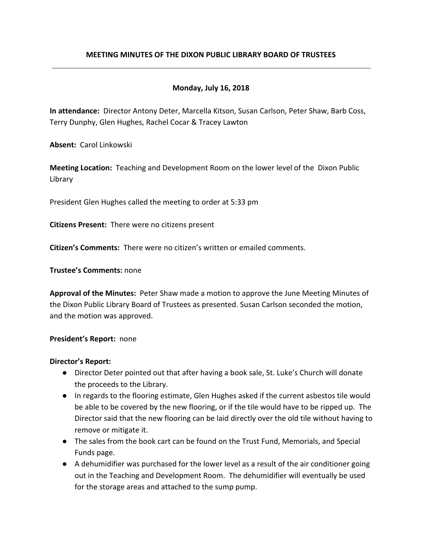# **MEETING MINUTES OF THE DIXON PUBLIC LIBRARY BOARD OF TRUSTEES**

## **Monday, July 16, 2018**

**In attendance:** Director Antony Deter, Marcella Kitson, Susan Carlson, Peter Shaw, Barb Coss, Terry Dunphy, Glen Hughes, Rachel Cocar & Tracey Lawton

**Absent:** Carol Linkowski

**Meeting Location:** Teaching and Development Room on the lower level of the Dixon Public Library

President Glen Hughes called the meeting to order at 5:33 pm

**Citizens Present:** There were no citizens present

**Citizen's Comments:** There were no citizen's written or emailed comments.

**Trustee's Comments:** none

**Approval of the Minutes:** Peter Shaw made a motion to approve the June Meeting Minutes of the Dixon Public Library Board of Trustees as presented. Susan Carlson seconded the motion, and the motion was approved.

## **President's Report:** none

## **Director's Report:**

- Director Deter pointed out that after having a book sale, St. Luke's Church will donate the proceeds to the Library.
- In regards to the flooring estimate, Glen Hughes asked if the current asbestos tile would be able to be covered by the new flooring, or if the tile would have to be ripped up. The Director said that the new flooring can be laid directly over the old tile without having to remove or mitigate it.
- The sales from the book cart can be found on the Trust Fund, Memorials, and Special Funds page.
- A dehumidifier was purchased for the lower level as a result of the air conditioner going out in the Teaching and Development Room. The dehumidifier will eventually be used for the storage areas and attached to the sump pump.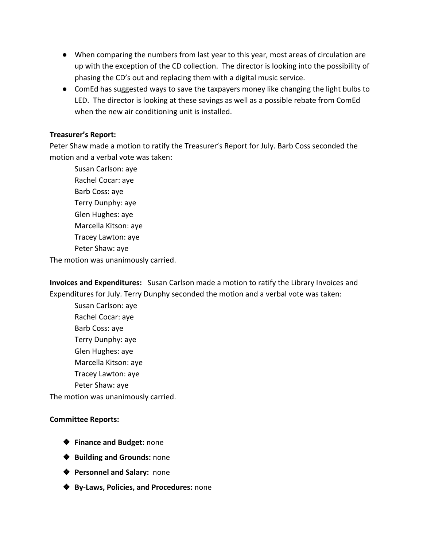- When comparing the numbers from last year to this year, most areas of circulation are up with the exception of the CD collection. The director is looking into the possibility of phasing the CD's out and replacing them with a digital music service.
- ComEd has suggested ways to save the taxpayers money like changing the light bulbs to LED. The director is looking at these savings as well as a possible rebate from ComEd when the new air conditioning unit is installed.

## **Treasurer's Report:**

Peter Shaw made a motion to ratify the Treasurer's Report for July. Barb Coss seconded the motion and a verbal vote was taken:

Susan Carlson: aye Rachel Cocar: aye Barb Coss: aye Terry Dunphy: aye Glen Hughes: aye Marcella Kitson: aye Tracey Lawton: aye Peter Shaw: aye The motion was unanimously carried.

**Invoices and Expenditures:** Susan Carlson made a motion to ratify the Library Invoices and Expenditures for July. Terry Dunphy seconded the motion and a verbal vote was taken:

Susan Carlson: aye Rachel Cocar: aye Barb Coss: aye Terry Dunphy: aye Glen Hughes: aye Marcella Kitson: aye Tracey Lawton: aye Peter Shaw: aye The motion was unanimously carried.

## **Committee Reports:**

- ❖ **Finance and Budget:** none
- ❖ **Building and Grounds:** none
- ❖ **Personnel and Salary:** none
- ❖ **By-Laws, Policies, and Procedures:** none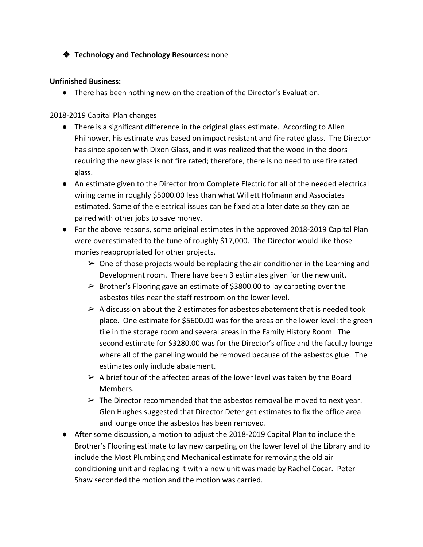❖ **Technology and Technology Resources:** none

# **Unfinished Business:**

● There has been nothing new on the creation of the Director's Evaluation.

# 2018-2019 Capital Plan changes

- There is a significant difference in the original glass estimate. According to Allen Philhower, his estimate was based on impact resistant and fire rated glass. The Director has since spoken with Dixon Glass, and it was realized that the wood in the doors requiring the new glass is not fire rated; therefore, there is no need to use fire rated glass.
- An estimate given to the Director from Complete Electric for all of the needed electrical wiring came in roughly \$5000.00 less than what Willett Hofmann and Associates estimated. Some of the electrical issues can be fixed at a later date so they can be paired with other jobs to save money.
- For the above reasons, some original estimates in the approved 2018-2019 Capital Plan were overestimated to the tune of roughly \$17,000. The Director would like those monies reappropriated for other projects.
	- $\triangleright$  One of those projects would be replacing the air conditioner in the Learning and Development room. There have been 3 estimates given for the new unit.
	- $\triangleright$  Brother's Flooring gave an estimate of \$3800.00 to lay carpeting over the asbestos tiles near the staff restroom on the lower level.
	- $\triangleright$  A discussion about the 2 estimates for asbestos abatement that is needed took place. One estimate for \$5600.00 was for the areas on the lower level: the green tile in the storage room and several areas in the Family History Room. The second estimate for \$3280.00 was for the Director's office and the faculty lounge where all of the panelling would be removed because of the asbestos glue. The estimates only include abatement.
	- $\triangleright$  A brief tour of the affected areas of the lower level was taken by the Board Members.
	- $\triangleright$  The Director recommended that the asbestos removal be moved to next year. Glen Hughes suggested that Director Deter get estimates to fix the office area and lounge once the asbestos has been removed.
- After some discussion, a motion to adjust the 2018-2019 Capital Plan to include the Brother's Flooring estimate to lay new carpeting on the lower level of the Library and to include the Most Plumbing and Mechanical estimate for removing the old air conditioning unit and replacing it with a new unit was made by Rachel Cocar. Peter Shaw seconded the motion and the motion was carried.